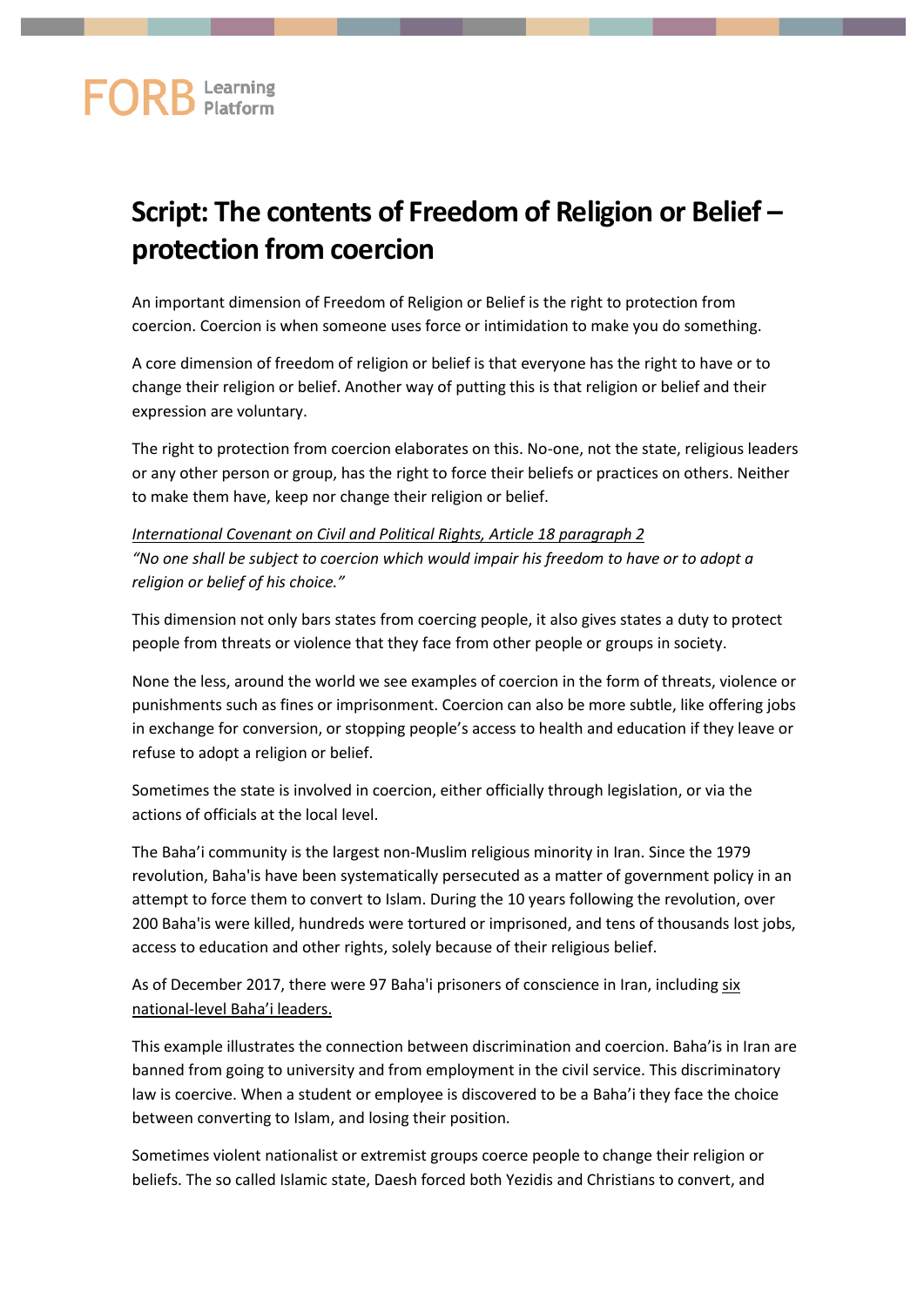## **FORB** Learning

## **Script: The contents of Freedom of Religion or Belief – protection from coercion**

An important dimension of Freedom of Religion or Belief is the right to protection from coercion. Coercion is when someone uses force or intimidation to make you do something.

A core dimension of freedom of religion or belief is that everyone has the right to have or to change their religion or belief. Another way of putting this is that religion or belief and their expression are voluntary.

The right to protection from coercion elaborates on this. No-one, not the state, religious leaders or any other person or group, has the right to force their beliefs or practices on others. Neither to make them have, keep nor change their religion or belief.

*International Covenant on Civil and Political Rights, Article 18 paragraph 2 "No one shall be subject to coercion which would impair his freedom to have or to adopt a religion or belief of his choice."*

This dimension not only bars states from coercing people, it also gives states a duty to protect people from threats or violence that they face from other people or groups in society.

None the less, around the world we see examples of coercion in the form of threats, violence or punishments such as fines or imprisonment. Coercion can also be more subtle, like offering jobs in exchange for conversion, or stopping people's access to health and education if they leave or refuse to adopt a religion or belief.

Sometimes the state is involved in coercion, either officially through legislation, or via the actions of officials at the local level.

The Baha'i community is the largest non-Muslim religious minority in Iran. Since the 1979 revolution, Baha'is have been systematically persecuted as a matter of government policy in an attempt to force them to convert to Islam. During the 10 years following the revolution, over 200 Baha'is were killed, hundreds were tortured or imprisoned, and tens of thousands lost jobs, access to education and other rights, solely because of their religious belief.

As of December 2017, there were 97 Baha'i prisoners of conscience in Iran, including [six](https://www.bic.org/8-years/profiles-seven-imprisoned-iranian-bahai-leaders#Bf58jwDt78Hq75gE.97)  national-[level Baha'i leaders](https://www.bic.org/8-years/profiles-seven-imprisoned-iranian-bahai-leaders#Bf58jwDt78Hq75gE.97).

This example illustrates the connection between discrimination and coercion. Baha'is in Iran are banned from going to university and from employment in the civil service. This discriminatory law is coercive. When a student or employee is discovered to be a Baha'i they face the choice between converting to Islam, and losing their position.

Sometimes violent nationalist or extremist groups coerce people to change their religion or beliefs. The so called Islamic state, Daesh forced both Yezidis and Christians to convert, and